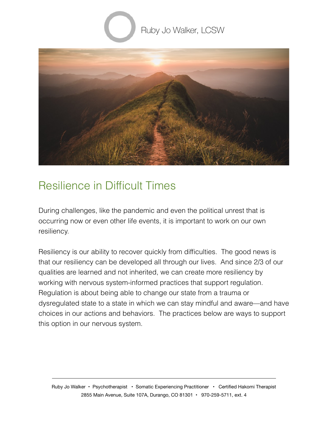



## Resilience in Difficult Times

During challenges, like the pandemic and even the political unrest that is occurring now or even other life events, it is important to work on our own resiliency.

Resiliency is our ability to recover quickly from difficulties. The good news is that our resiliency can be developed all through our lives. And since 2/3 of our qualities are learned and not inherited, we can create more resiliency by working with nervous system-informed practices that support regulation. Regulation is about being able to change our state from a trauma or dysregulated state to a state in which we can stay mindful and aware—and have choices in our actions and behaviors. The practices below are ways to support this option in our nervous system.